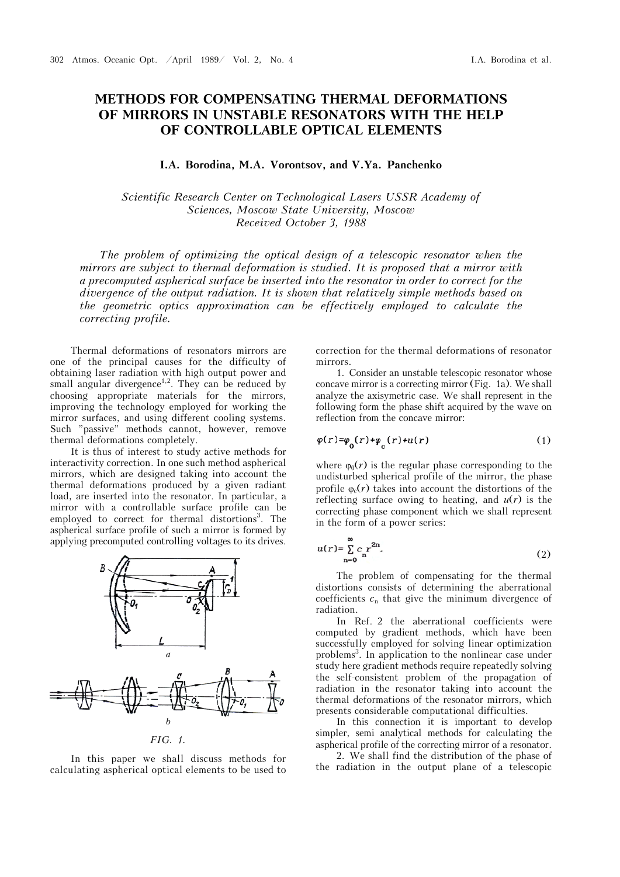## **METHODS FOR COMPENSATING THERMAL DEFORMATIONS OF MIRRORS IN UNSTABLE RESONATORS WITH THE HELP OF CONTROLLABLE OPTICAL ELEMENTS**

## **I.A. Borodina, M.A. Vorontsov, and V.Ya. Panchenko**

*Scientific Research Center on Technological Lasers USSR Academy of Sciences, Moscow State University, Moscow Received October 3, 1988* 

*The problem of optimizing the optical design of a telescopic resonator when the mirrors are subject to thermal deformation is studied. It is proposed that a mirror with a precomputed aspherical surface be inserted into the resonator in order to correct for the divergence of the output radiation. It is shown that relatively simple methods based on the geometric optics approximation can be effectively employed to calculate the correcting profile.* 

Thermal deformations of resonators mirrors are one of the principal causes for the difficulty of obtaining laser radiation with high output power and small angular divergence<sup>1,2</sup>. They can be reduced by choosing appropriate materials for the mirrors, improving the technology employed for working the mirror surfaces, and using different cooling systems. Such "passive" methods cannot, however, remove thermal deformations completely.

It is thus of interest to study active methods for interactivity correction. In one such method aspherical mirrors, which are designed taking into account the thermal deformations produced by a given radiant load, are inserted into the resonator. In particular, a mirror with a controllable surface profile can be employed to correct for thermal distortions<sup>3</sup>. The aspherical surface profile of such a mirror is formed by applying precomputed controlling voltages to its drives.



*FIG. 1.*

In this paper we shall discuss methods for calculating aspherical optical elements to be used to

correction for the thermal deformations of resonator mirrors.

1. Consider an unstable telescopic resonator whose concave mirror is a correcting mirror  $(Fig. 1a)$ . We shall analyze the axisymetric case. We shall represent in the following form the phase shift acquired by the wave on reflection from the concave mirror:

$$
\varphi(r) = \varphi_0(r) + \varphi_0(r) + u(r) \tag{1}
$$

where  $\varphi_0(r)$  is the regular phase corresponding to the undisturbed spherical profile of the mirror, the phase profile  $\varphi_c(r)$  takes into account the distortions of the reflecting surface owing to heating, and  $u(r)$  is the correcting phase component which we shall represent in the form of a power series:

$$
u(r) = \sum_{n=0}^{\infty} c_n r^{2n}.
$$
 (2)

The problem of compensating for the thermal distortions consists of determining the aberrational coefficients  $c_n$  that give the minimum divergence of radiation.

In Ref. 2 the aberrational coefficients were computed by gradient methods, which have been successfully employed for solving linear optimization problems<sup>3</sup> . In application to the nonlinear case under study here gradient methods require repeatedly solving the self-consistent problem of the propagation of radiation in the resonator taking into account the thermal deformations of the resonator mirrors, which presents considerable computational difficulties.

In this connection it is important to develop simpler, semi analytical methods for calculating the aspherical profile of the correcting mirror of a resonator.

2. We shall find the distribution of the phase of the radiation in the output plane of a telescopic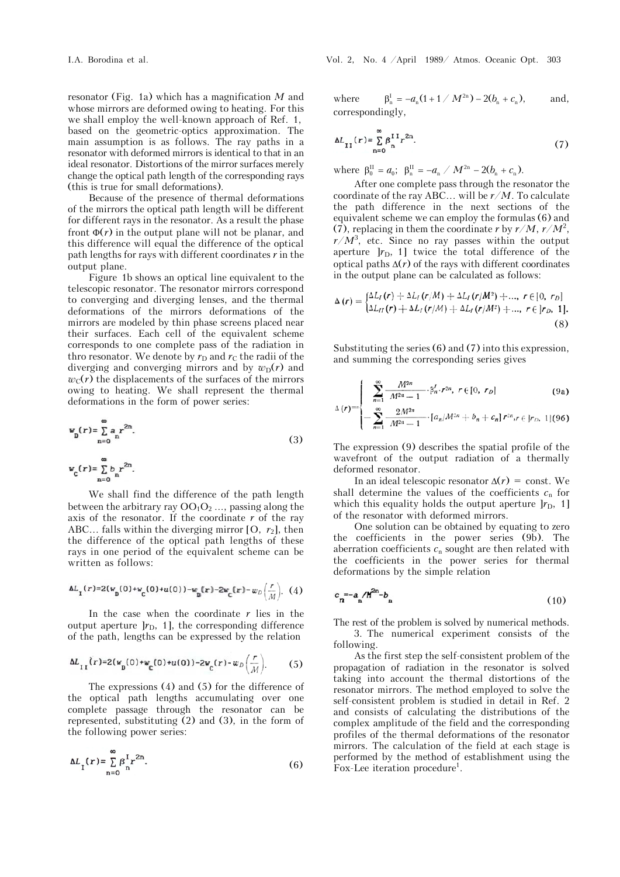resonator (Fig. 1a) which has a magnification *M* and whose mirrors are deformed owing to heating. For this we shall employ the well-known approach of Ref. 1, based on the geometric-optics approximation. The main assumption is as follows. The ray paths in a resonator with deformed mirrors is identical to that in an ideal resonator. Distortions of the mirror surfaces merely change the optical path length of the corresponding rays (this is true for small deformations).

Because of the presence of thermal deformations of the mirrors the optical path length will be different for different rays in the resonator. As a result the phase front  $\Phi(r)$  in the output plane will not be planar, and this difference will equal the difference of the optical path lengths for rays with different coordinates *r* in the output plane.

Figure 1b shows an optical line equivalent to the telescopic resonator. The resonator mirrors correspond to converging and diverging lenses, and the thermal deformations of the mirrors deformations of the mirrors are modeled by thin phase screens placed near their surfaces. Each cell of the equivalent scheme corresponds to one complete pass of the radiation in thro resonator. We denote by  $r<sub>D</sub>$  and  $r<sub>C</sub>$  the radii of the diverging and converging mirrors and by  $w_D(r)$  and  $w<sub>C</sub>(r)$  the displacements of the surfaces of the mirrors owing to heating. We shall represent the thermal deformations in the form of power series:

$$
w_{\mathbf{D}}(r) = \sum_{n=0}^{\infty} a_n r^{2n}.
$$
  
\n
$$
w_{\mathbf{C}}(r) = \sum_{n=0}^{\infty} b_n r^{2n}.
$$
\n(3)

We shall find the difference of the path length between the arbitrary ray  $OO<sub>1</sub>O<sub>2</sub>...$ , passing along the axis of the resonator. If the coordinate *r* of the ray ABC... falls within the diverging mirror  $[0, r_2]$ , then the difference of the optical path lengths of these rays in one period of the equivalent scheme can be written as follows:

$$
\Delta L_{\mathbf{1}}(r) = 2(w_{\mathbf{0}}(0) + w_{\mathbf{C}}(0) + u(0)) - w_{\mathbf{0}}(r) - 2w_{\mathbf{C}}(r) - w_{D}\left(\frac{r}{M}\right). (4)
$$

In the case when the coordinate  $r$  lies in the output aperture  $|r_{\text{D}}$ , 1], the corresponding difference of the path, lengths can be expressed by the relation

$$
\Delta L_{II}(r) = 2(w_p(0) + w_c(0) + u(0)) - 2w_c(r) - w_D\left(\frac{r}{M}\right).
$$
 (5)

The expressions (4) and (5) for the difference of the optical path lengths accumulating over one complete passage through the resonator can be represented, substituting (2) and (3), in the form of the following power series:

$$
\Delta L_{\mathbf{I}}(r) = \sum_{n=0}^{\infty} \beta_{n}^{\mathbf{I}} r^{2n}.
$$
 (6)

where  $\beta_{n}^{I} = -a_{n}(1 + 1 / M^{2n}) - 2(b_{n} + c_{n}),$  and, correspondingly,

$$
\Delta L_{II}(r) = \sum_{n=0}^{\infty} \beta_1^{II} r^{2n}.
$$
 (7)

where  $\beta_0^{\text{II}} = a_0$ ;  $\beta_{\text{n}}^{\text{II}} = -a_{\text{n}} / M^{2\text{n}} - 2(b_{\text{n}} + c_{\text{n}})$ .

After one complete pass through the resonator the coordinate of the ray ABC... will be *r*/*M*. To calculate the path difference in the next sections of the equivalent scheme we can employ the formulas (6) and (7), replacing in them the coordinate *r* by  $r/M$ ,  $r/M^2$ ,  $r/M^3$ , etc. Since no ray passes within the output aperture  $|r_{\text{D}}$ , 1] twice the total difference of the optical paths  $\Delta(r)$  of the rays with different coordinates in the output plane can be calculated as follows:

$$
\Delta(r) = \begin{cases} \Delta L_I(r) + \Delta L_I(r/M) + \Delta L_I(r/M^2) + ..., r \in [0, r_D] \\ \Delta L_{II}(r) + \Delta L_I(r/M) + \Delta L_I(r/M^2) + ..., r \in [r_D, 1]. \end{cases}
$$
(8)

Substituting the series (6) and (7) into this expression, and summing the corresponding series gives

$$
\left| \sum_{n=1}^{\infty} \frac{M^{2n}}{M^{2n}-1} \cdot \beta_n^f \cdot r^{2n}, \ r \in [0, r_D] \right|
$$
 (9a)

$$
\Delta(r) = \left\{-\sum_{n=1}^{\infty} \frac{2M^{2n}}{M^{2n}-1} \cdot [a_n/M^{2n}+b_n+c_n] r^{2n}, r \in ]r_D, 1] (96)\right\}
$$

The expression (9) describes the spatial profile of the wavefront of the output radiation of a thermally deformed resonator.

In an ideal telescopic resonator  $\Delta(r)$  = const. We shall determine the values of the coefficients  $c_n$  for which this equality holds the output aperture  $[r_{\rm D}, 1]$ of the resonator with deformed mirrors.

One solution can be obtained by equating to zero the coefficients in the power series (9b). The aberration coefficients  $c_n$  sought are then related with the coefficients in the power series for thermal deformations by the simple relation

$$
c_n = a_n / N^{2n} - b_n \tag{10}
$$

The rest of the problem is solved by numerical methods. 3. The numerical experiment consists of the following.

As the first step the self-consistent problem of the propagation of radiation in the resonator is solved taking into account the thermal distortions of the resonator mirrors. The method employed to solve the self-consistent problem is studied in detail in Ref. 2 and consists of calculating the distributions of the complex amplitude of the field and the corresponding profiles of the thermal deformations of the resonator mirrors. The calculation of the field at each stage is performed by the method of establishment using the Fox-Lee iteration procedure<sup>1</sup>.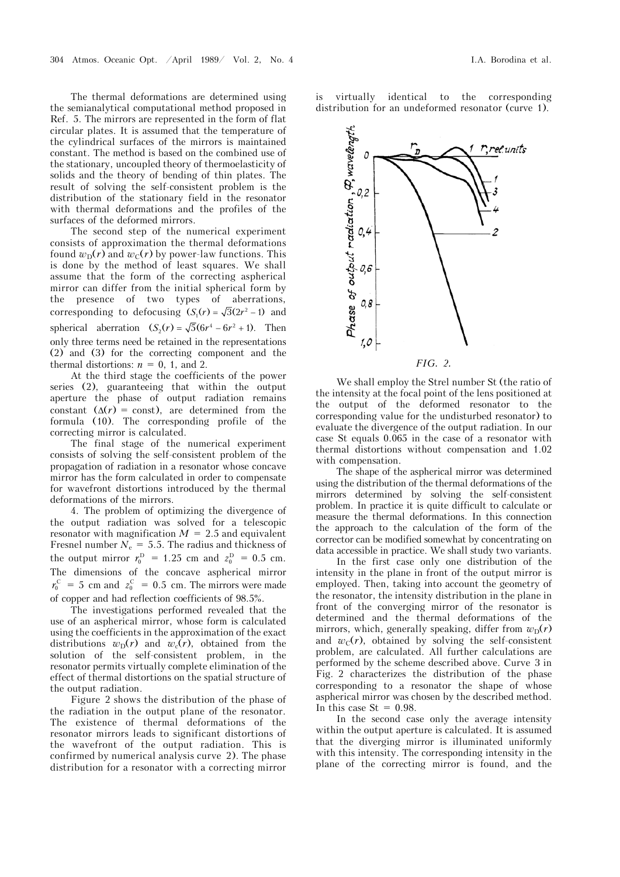The thermal deformations are determined using the semianalytical computational method proposed in Ref. 5. The mirrors are represented in the form of flat circular plates. It is assumed that the temperature of the cylindrical surfaces of the mirrors is maintained constant. The method is based on the combined use of the stationary, uncoupled theory of thermoelasticity of solids and the theory of bending of thin plates. The result of solving the self-consistent problem is the distribution of the stationary field in the resonator with thermal deformations and the profiles of the surfaces of the deformed mirrors.

The second step of the numerical experiment consists of approximation the thermal deformations found  $w_D(r)$  and  $w_C(r)$  by power-law functions. This is done by the method of least squares. We shall assume that the form of the correcting aspherical mirror can differ from the initial spherical form by the presence of two types of aberrations, corresponding to defocusing  $(S_1(r) = \sqrt{3(2r^2 - 1)})$  and spherical aberration  $(S_2(r) = \sqrt{5(6r^4 - 6r^2 + 1)}$ . Then only three terms need be retained in the representations (2) and (3) for the correcting component and the thermal distortions:  $n = 0$ , 1, and 2.

At the third stage the coefficients of the power series (2), guaranteeing that within the output aperture the phase of output radiation remains constant  $(\Delta(r) = \text{const})$ , are determined from the formula (10). The corresponding profile of the correcting mirror is calculated.

The final stage of the numerical experiment consists of solving the self-consistent problem of the propagation of radiation in a resonator whose concave mirror has the form calculated in order to compensate for wavefront distortions introduced by the thermal deformations of the mirrors.

4. The problem of optimizing the divergence of the output radiation was solved for a telescopic resonator with magnification  $M = 2.5$  and equivalent Fresnel number  $N_e = 5.5$ . The radius and thickness of the output mirror  $r_0^D = 1.25$  cm and  $z_0^D = 0.5$  cm. The dimensions of the concave aspherical mirror  $r_0^C = 5$  cm and  $z_0^C = 0.5$  cm. The mirrors were made of copper and had reflection coefficients of 98.5%.

The investigations performed revealed that the use of an aspherical mirror, whose form is calculated using the coefficients in the approximation of the exact distributions  $w_D(r)$  and  $w_c(r)$ , obtained from the solution of the self-consistent problem, in the resonator permits virtually complete elimination of the effect of thermal distortions on the spatial structure of the output radiation.

Figure 2 shows the distribution of the phase of the radiation in the output plane of the resonator. The existence of thermal deformations of the resonator mirrors leads to significant distortions of the wavefront of the output radiation. This is confirmed by numerical analysis curve 2). The phase distribution for a resonator with a correcting mirror

is virtually identical to the corresponding distribution for an undeformed resonator (curve 1).



We shall employ the Strel number St (the ratio of the intensity at the focal point of the lens positioned at the output of the deformed resonator to the corresponding value for the undisturbed resonator) to evaluate the divergence of the output radiation. In our case St equals 0.065 in the case of a resonator with thermal distortions without compensation and 1.02 with compensation.

The shape of the aspherical mirror was determined using the distribution of the thermal deformations of the mirrors determined by solving the self-consistent problem. In practice it is quite difficult to calculate or measure the thermal deformations. In this connection the approach to the calculation of the form of the corrector can be modified somewhat by concentrating on data accessible in practice. We shall study two variants.

In the first case only one distribution of the intensity in the plane in front of the output mirror is employed. Then, taking into account the geometry of the resonator, the intensity distribution in the plane in front of the converging mirror of the resonator is determined and the thermal deformations of the mirrors, which, generally speaking, differ from  $w_D(r)$ and  $w<sub>C</sub>(r)$ , obtained by solving the self-consistent problem, are calculated. All further calculations are performed by the scheme described above. Curve 3 in Fig. 2 characterizes the distribution of the phase corresponding to a resonator the shape of whose aspherical mirror was chosen by the described method. In this case  $St = 0.98$ .

In the second case only the average intensity within the output aperture is calculated. It is assumed that the diverging mirror is illuminated uniformly with this intensity. The corresponding intensity in the plane of the correcting mirror is found, and the